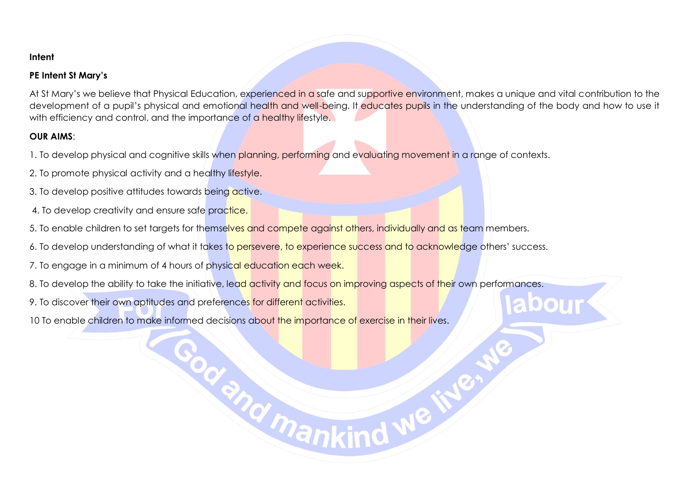## **Intent**

## **PE Intent St Mary's**

At St Mary's we believe that Physical Education, experienced in a safe and supportive environment, makes a unique and vital contribution to the development of a pupil's physical and emotional health and well-being. It educates pupils in the understanding of the body and how to use it with efficiency and control, and the importance of a healthy lifestyle.

**bour** 

## **OUR AIMS**:

1. To develop physical and cognitive skills when planning, performing and evaluating movement in a range of contexts.

- 2. To promote physical activity and a healthy lifestyle.
- 3. To develop positive attitudes towards being active.
- 4. To develop creativity and ensure safe practice.
- 5. To enable children to set targets for themselves and compete against others, individually and as team members.
- 6. To develop understanding of what it takes to persevere, to experience success and to acknowledge others' success.
- 7. To engage in a minimum of 4 hours of physical education each week.
- 8. To develop the ability to take the initiative, lead activity and focus on improving aspects of their own performances.

God and mankind we in

9. To discover their own aptitudes and preferences for different activities.

10 To enable children to make informed decisions about the importance of exercise in their lives.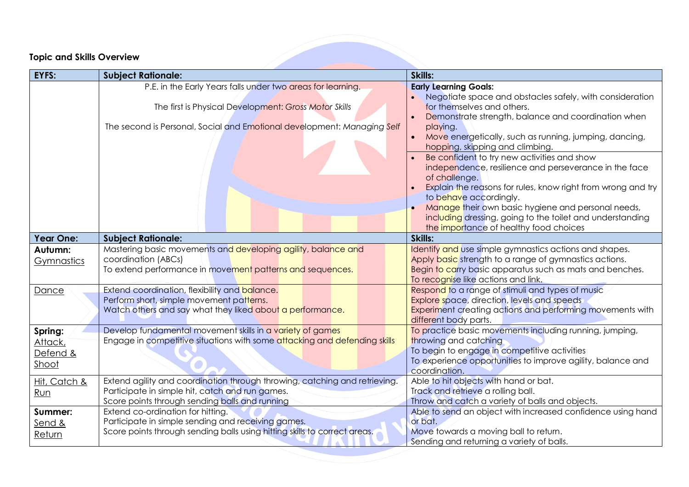## **Topic and Skills Overview**

| EYFS:                                   | <b>Subject Rationale:</b>                                                                                                                                                                       | Skills:                                                                                                                                                                                                                                                                                                                                                                      |
|-----------------------------------------|-------------------------------------------------------------------------------------------------------------------------------------------------------------------------------------------------|------------------------------------------------------------------------------------------------------------------------------------------------------------------------------------------------------------------------------------------------------------------------------------------------------------------------------------------------------------------------------|
|                                         | P.E. in the Early Years falls under two areas for learning.<br>The first is Physical Development: Gross Motor Skills<br>The second is Personal, Social and Emotional development: Managing Self | <b>Early Learning Goals:</b><br>Negotiate space and obstacles safely, with consideration<br>for themselves and others.<br>Demonstrate strength, balance and coordination when<br>playing.<br>Move energetically, such as running, jumping, dancing,<br>hopping, skipping and climbing.                                                                                       |
|                                         |                                                                                                                                                                                                 | Be confident to try new activities and show<br>independence, resilience and perseverance in the face<br>of challenge.<br>Explain the reasons for rules, know right from wrong and try<br>to behave accordingly.<br>Manage their own basic hygiene and personal needs,<br>including dressing, going to the toilet and understanding<br>the importance of healthy food choices |
| <b>Year One:</b>                        | <b>Subject Rationale:</b>                                                                                                                                                                       | Skills:                                                                                                                                                                                                                                                                                                                                                                      |
| Autumn:<br>Gymnastics                   | Mastering basic movements and developing agility, balance and<br>coordination (ABCs)<br>To extend performance in movement patterns and sequences.                                               | Identify and use simple gymnastics actions and shapes.<br>Apply basic strength to a range of gymnastics actions.<br>Begin to carry basic apparatus such as mats and benches.<br>To recognise like actions and link.                                                                                                                                                          |
| Dance                                   | Extend coordination, flexibility and balance.<br>Perform short, simple movement patterns.<br>Watch others and say what they liked about a performance.                                          | Respond to a range of stimuli and types of music<br>Explore space, direction, levels and speeds<br>Experiment creating actions and performing movements with<br>different body parts.                                                                                                                                                                                        |
| Spring:<br>Attack,<br>Defend &<br>Shoot | Develop fundamental movement skills in a variety of games<br>Engage in competitive situations with some attacking and defending skills                                                          | To practice basic movements including running, jumping,<br>throwing and catching<br>To begin to engage in competitive activities<br>To experience opportunities to improve agility, balance and<br>coordination.                                                                                                                                                             |
| Hit, Catch &<br>Run                     | Extend agility and coordination through throwing, catching and retrieving.<br>Participate in simple hit, catch and run games.<br>Score points through sending balls and running                 | Able to hit objects with hand or bat.<br>Track and retrieve a rolling ball.<br>Throw and catch a variety of balls and objects.                                                                                                                                                                                                                                               |
| Summer:<br>Send &<br>Return             | Extend co-ordination for hitting.<br>Participate in simple sending and receiving games.<br>Score points through sending balls using hitting skills to correct areas.                            | Able to send an object with increased confidence using hand<br>or bat.<br>Move towards a moving ball to return.<br>Sending and returning a variety of balls.                                                                                                                                                                                                                 |

and the contract of the contract of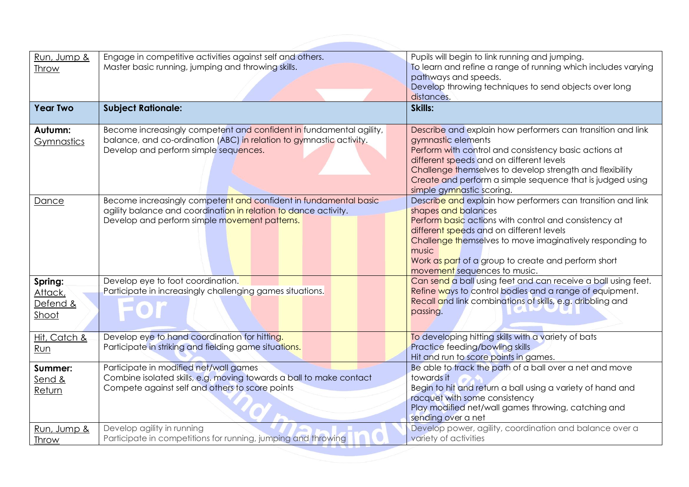| Run, Jump &<br>Throw                    | Engage in competitive activities against self and others.<br>Master basic running, jumping and throwing skills.                                                                      | Pupils will begin to link running and jumping.<br>To learn and refine a range of running which includes varying<br>pathways and speeds.<br>Develop throwing techniques to send objects over long<br>distances.                                                                                                                                      |
|-----------------------------------------|--------------------------------------------------------------------------------------------------------------------------------------------------------------------------------------|-----------------------------------------------------------------------------------------------------------------------------------------------------------------------------------------------------------------------------------------------------------------------------------------------------------------------------------------------------|
| <b>Year Two</b>                         | <b>Subject Rationale:</b>                                                                                                                                                            | Skills:                                                                                                                                                                                                                                                                                                                                             |
| Autumn:<br>Gymnastics                   | Become increasingly competent and confident in fundamental agility,<br>balance, and co-ordination (ABC) in relation to gymnastic activity.<br>Develop and perform simple sequences.  | Describe and explain how performers can transition and link<br>gymnastic elements<br>Perform with control and consistency basic actions at<br>different speeds and on different levels<br>Challenge themselves to develop strength and flexibility<br>Create and perform a simple sequence that is judged using<br>simple gymnastic scoring.        |
| Dance                                   | Become increasingly competent and confident in fundamental basic<br>agility balance and coordination in relation to dance activity.<br>Develop and perform simple movement patterns. | Describe and explain how performers can transition and link<br>shapes and balances<br>Perform basic actions with control and consistency at<br>different speeds and on different levels<br>Challenge themselves to move imaginatively responding to<br>music<br>Work as part of a group to create and perform short<br>movement sequences to music. |
| Spring:<br>Attack,<br>Defend &<br>Shoot | Develop eye to foot coordination.<br>Participate in increasingly challenging games situations.                                                                                       | Can send a ball using feet and can receive a ball using feet.<br>Refine ways to control bodies and a range of equipment.<br>Recall and link combinations of skills, e.g. dribbling and<br>passing.                                                                                                                                                  |
| Hit, Catch &<br>Run                     | Develop eye to hand coordination for hitting.<br>Participate in striking and fielding game situations.                                                                               | To developing hitting skills with a variety of bats<br>Practice feeding/bowling skills<br>Hit and run to score points in games.                                                                                                                                                                                                                     |
| Summer:<br>Send &<br>Return             | Participate in modified net/wall games<br>Combine isolated skills, e.g. moving towards a ball to make contact<br>Compete against self and others to score points                     | Be able to track the path of a ball over a net and move<br>towards it<br>Begin to hit and return a ball using a variety of hand and<br>racquet with some consistency<br>Play modified net/wall games throwing, catching and<br>sending over a net                                                                                                   |
| Run, Jump &<br><b>Throw</b>             | Develop agility in running<br>Participate in competitions for running, jumping and throwing                                                                                          | Develop power, agility, coordination and balance over a<br>variety of activities                                                                                                                                                                                                                                                                    |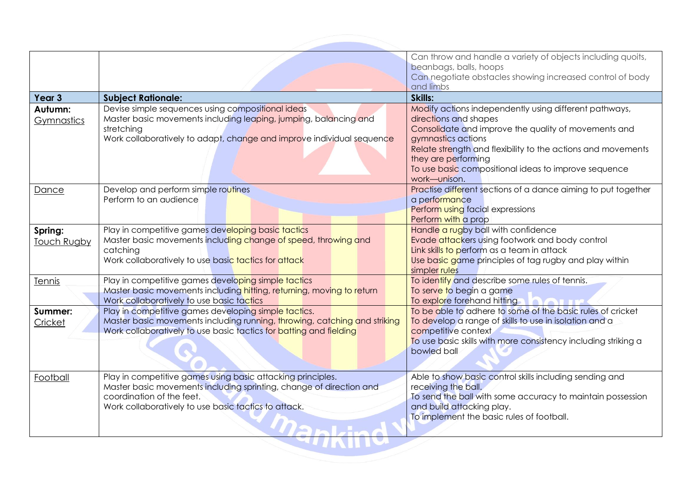|                               |                                                                                                                                                                                                                         | Can throw and handle a variety of objects including quoits,<br>beanbags, balls, hoops<br>Can negotiate obstacles showing increased control of body<br>and limbs                                                                                                                                                              |
|-------------------------------|-------------------------------------------------------------------------------------------------------------------------------------------------------------------------------------------------------------------------|------------------------------------------------------------------------------------------------------------------------------------------------------------------------------------------------------------------------------------------------------------------------------------------------------------------------------|
| Year 3                        | <b>Subject Rationale:</b>                                                                                                                                                                                               | Skills:                                                                                                                                                                                                                                                                                                                      |
| Autumn:<br><b>Gymnastics</b>  | Devise simple sequences using compositional ideas<br>Master basic movements including leaping, jumping, balancing and<br>stretching<br>Work collaboratively to adapt, change and improve individual sequence            | Modify actions independently using different pathways,<br>directions and shapes<br>Consolidate and improve the quality of movements and<br>gymnastics actions<br>Relate strength and flexibility to the actions and movements<br>they are performing<br>To use basic compositional ideas to improve sequence<br>work-unison. |
| Dance                         | Develop and perform simple routines<br>Perform to an audience                                                                                                                                                           | Practise different sections of a dance aiming to put together<br>a performance<br>Perform using facial expressions<br>Perform with a prop                                                                                                                                                                                    |
| Spring:<br><b>Touch Rugby</b> | Play in competitive games developing basic tactics<br>Master basic movements including change of speed, throwing and<br>catching<br>Work collaboratively to use basic tactics for attack                                | Handle a rugby ball with confidence<br>Evade attackers using footwork and body control<br>Link skills to perform as a team in attack<br>Use basic game principles of tag rugby and play within<br>simpler rules                                                                                                              |
| Tennis                        | Play in competitive games developing simple tactics<br>Master basic movements including hitting, returning, moving to return<br>Work collaboratively to use basic tactics                                               | To identify and describe some rules of tennis.<br>To serve to begin a game<br>To explore forehand hitting                                                                                                                                                                                                                    |
| Summer:<br>Cricket            | Play in competitive games developing simple tactics.<br>Master basic movements including running, throwing, catching and striking<br>Work collaboratively to use basic tactics for batting and fielding                 | To be able to adhere to some of the basic rules of cricket<br>To develop a range of skills to use in isolation and a<br>competitive context<br>To use basic skills with more consistency including striking a<br>bowled ball                                                                                                 |
| Football                      | Play in competitive games using basic attacking principles.<br>Master basic movements including sprinting, change of direction and<br>coordination of the feet.<br>Work collaboratively to use basic tactics to attack. | Able to show basic control skills including sending and<br>receiving the ball.<br>To send the ball with some accuracy to maintain possession<br>and build attacking play.<br>To implement the basic rules of football.                                                                                                       |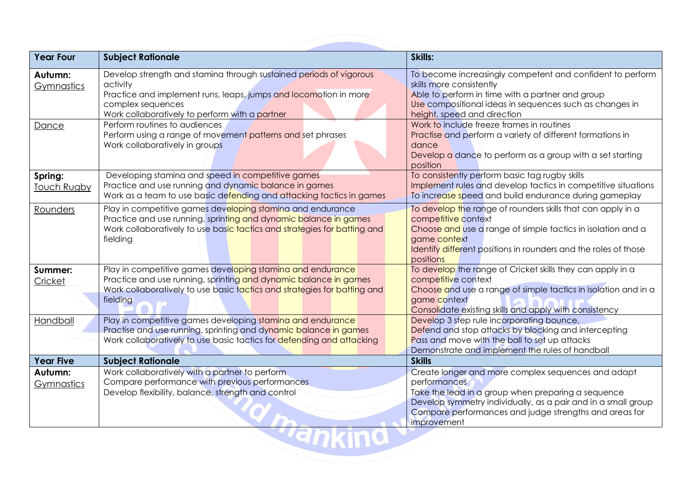| <b>Year Four</b>              | <b>Subject Rationale</b>                                                                                                                                                                                                  | Skills:                                                                                                                                                                                                                                                            |
|-------------------------------|---------------------------------------------------------------------------------------------------------------------------------------------------------------------------------------------------------------------------|--------------------------------------------------------------------------------------------------------------------------------------------------------------------------------------------------------------------------------------------------------------------|
| Autumn:<br>Gymnastics         | Develop strength and stamina through sustained periods of vigorous<br>activity<br>Practice and implement runs, leaps, jumps and locomotion in more<br>complex sequences<br>Work collaboratively to perform with a partner | To become increasingly competent and confident to perform<br>skills more consistently<br>Able to perform in time with a partner and group<br>Use compositional ideas in sequences such as changes in<br>height, speed and direction                                |
| Dance                         | Perform routines to audiences<br>Perform using a range of movement patterns and set phrases<br>Work collaboratively in groups                                                                                             | Work to include freeze frames in routines<br>Practise and perform a variety of different formations in<br>dance<br>Develop a dance to perform as a group with a set starting<br>position                                                                           |
| Spring:<br><b>Touch Rugby</b> | Developing stamina and speed in competitive games<br>Practice and use running and dynamic balance in games<br>Work as a team to use basic defending and attacking tactics in games                                        | To consistently perform basic tag rugby skills<br>Implement rules and develop tactics in competitive situations<br>To increase speed and build endurance during gameplay                                                                                           |
| Rounders                      | Play in competitive games developing staming and endurance<br>Practice and use running, sprinting and dynamic balance in games<br>Work collaboratively to use basic tactics and strategies for batting and<br>fielding    | To develop the range of rounders skills that can apply in a<br>competitive context<br>Choose and use a range of simple tactics in isolation and a<br>game context<br>Identify different positions in rounders and the roles of those<br>positions                  |
| Summer:<br><b>Cricket</b>     | Play in competitive games developing stamina and endurance<br>Practice and use running, sprinting and dynamic balance in games<br>Work collaboratively to use basic tactics and strategies for batting and<br>fielding    | To develop the range of Cricket skills they can apply in a<br>competitive context<br>Choose and use a range of simple tactics in isolation and in a<br>game context<br>Consolidate existing skills and apply with consistency                                      |
| Handball                      | Play in competitive games developing staming and endurance<br>Practise and use running, sprinting and dynamic balance in games<br>Work collaboratively to use basic tactics for defending and attacking                   | Develop 3 step rule incorporating bounce.<br>Defend and stop attacks by blocking and intercepting<br>Pass and move with the ball to set up attacks<br>Demonstrate and implement the rules of handball                                                              |
| <b>Year Five</b>              | <b>Subject Rationale</b>                                                                                                                                                                                                  | <b>Skills</b>                                                                                                                                                                                                                                                      |
| Autumn:<br>Gymnastics         | Work collaboratively with a partner to perform<br>Compare performance with previous performances<br>Develop flexibility, balance, strength and control                                                                    | Create longer and more complex sequences and adapt<br>performances<br>Take the lead in a group when preparing a sequence<br>Develop symmetry individually, as a pair and in a small group<br>Compare performances and judge strengths and areas for<br>improvement |
|                               |                                                                                                                                                                                                                           |                                                                                                                                                                                                                                                                    |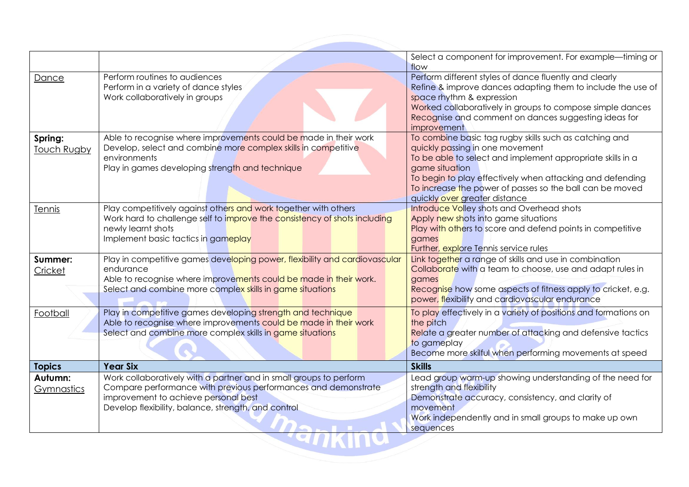|                        |                                                                                                                                                                                                                                     | Select a component for improvement. For example—timing or<br>flow                                                                                                                                                                                                                                                                   |
|------------------------|-------------------------------------------------------------------------------------------------------------------------------------------------------------------------------------------------------------------------------------|-------------------------------------------------------------------------------------------------------------------------------------------------------------------------------------------------------------------------------------------------------------------------------------------------------------------------------------|
| Dance                  | Perform routines to audiences<br>Perform in a variety of dance styles<br>Work collaboratively in groups                                                                                                                             | Perform different styles of dance fluently and clearly<br>Refine & improve dances adapting them to include the use of<br>space rhythm & expression<br>Worked collaboratively in groups to compose simple dances<br>Recognise and comment on dances suggesting ideas for<br>improvement                                              |
| Spring:<br>Touch Rugby | Able to recognise where improvements could be made in their work<br>Develop, select and combine more complex skills in competitive<br>environments<br>Play in games developing strength and technique                               | To combine basic tag rugby skills such as catching and<br>quickly passing in one movement<br>To be able to select and implement appropriate skills in a<br>game situation<br>To begin to play effectively when attacking and defending<br>To increase the power of passes so the ball can be moved<br>quickly over greater distance |
| Tennis                 | Play competitively against others and work together with others<br>Work hard to challenge self to improve the consistency of shots including<br>newly learnt shots<br>Implement basic tactics in gameplay                           | Introduce Volley shots and Overhead shots<br>Apply new shots into game situations<br>Play with others to score and defend points in competitive<br>games<br>Further, explore Tennis service rules                                                                                                                                   |
| Summer:<br>Cricket     | Play in competitive games developing power, flexibility and cardiovascular<br>endurance<br>Able to recognise where improvements could be made in their work.<br>Select and combine more complex skills in game situations           | Link together a range of skills and use in combination<br>Collaborate with a team to choose, use and adapt rules in<br>games<br>Recognise how some aspects of fitness apply to cricket, e.g.<br>power, flexibility and cardiovascular endurance                                                                                     |
| Football               | Play in competitive games developing strength and technique<br>Able to recognise where improvements could be made in their work<br>Select and combine more complex skills in game situations                                        | To play effectively in a variety of positions and formations on<br>the pitch<br>Relate a greater number of attacking and defensive tactics<br>to gameplay<br>Become more skilful when performing movements at speed                                                                                                                 |
| <b>Topics</b>          | <b>Year Six</b>                                                                                                                                                                                                                     | <b>Skills</b>                                                                                                                                                                                                                                                                                                                       |
| Autumn:<br>Gymnastics  | Work collaboratively with a partner and in small groups to perform<br>Compare performance with previous performances and demonstrate<br>improvement to achieve personal best<br>Develop flexibility, balance, strength, and control | Lead group warm-up showing understanding of the need for<br>strength and flexibility<br>Demonstrate accuracy, consistency, and clarity of<br>movement<br>Work independently and in small groups to make up own<br>sequences                                                                                                         |
|                        |                                                                                                                                                                                                                                     |                                                                                                                                                                                                                                                                                                                                     |